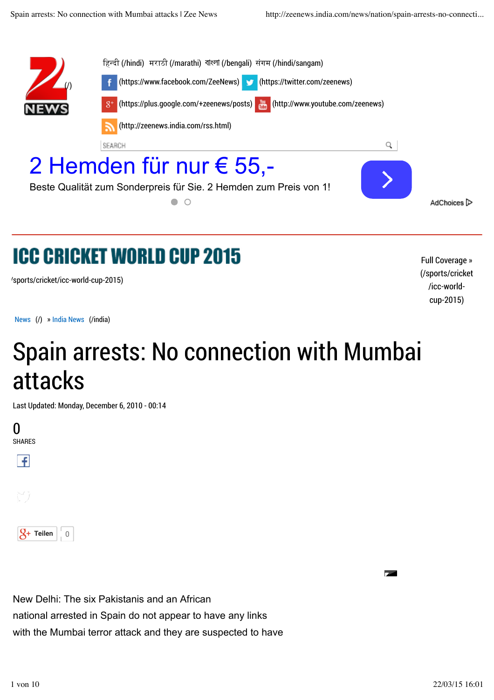

## **ICC CRICKET WORLD CUP 2015**

/sports/cricket/icc-world-cup-2015)

Full Coverage » (/sports/cricket /icc-worldcup-2015)

News (/) » India News (/india)

## Spain arrests: No connection with Mumbai attacks

Last Updated: Monday, December 6, 2010 - 00:14





New Delhi: The six Pakistanis and an African national arrested in Spain do not appear to have any links with the Mumbai terror attack and they are suspected to have Comment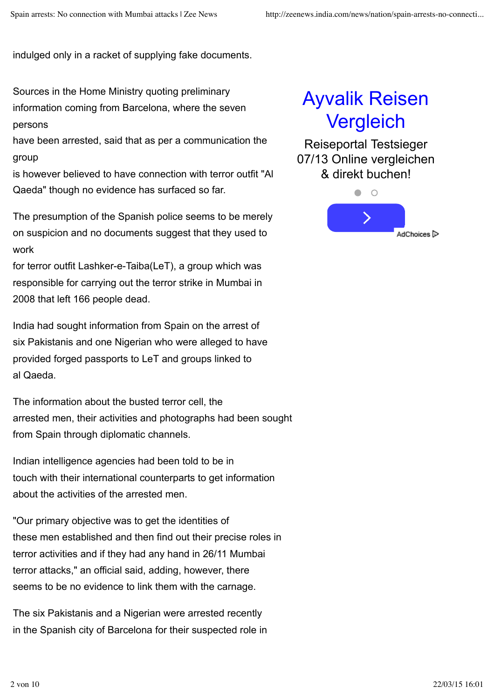indulged only in a racket of supplying fake documents.

Sources in the Home Ministry quoting preliminary information coming from Barcelona, where the seven persons

have been arrested, said that as per a communication the group

is however believed to have connection with terror outfit "Al Qaeda" though no evidence has surfaced so far.

The presumption of the Spanish police seems to be merely on suspicion and no documents suggest that they used to work

for terror outfit Lashker-e-Taiba(LeT), a group which was responsible for carrying out the terror strike in Mumbai in 2008 that left 166 people dead.

India had sought information from Spain on the arrest of six Pakistanis and one Nigerian who were alleged to have provided forged passports to LeT and groups linked to al Qaeda.

The information about the busted terror cell, the arrested men, their activities and photographs had been sought from Spain through diplomatic channels.

Indian intelligence agencies had been told to be in touch with their international counterparts to get information about the activities of the arrested men.

"Our primary objective was to get the identities of these men established and then find out their precise roles in terror activities and if they had any hand in 26/11 Mumbai terror attacks," an official said, adding, however, there seems to be no evidence to link them with the carnage.

The six Pakistanis and a Nigerian were arrested recently in the Spanish city of Barcelona for their suspected role in

## Ayvalik Reisen **Vergleich**

Reiseportal Testsieger 07/13 Online vergleichen & direkt buchen!